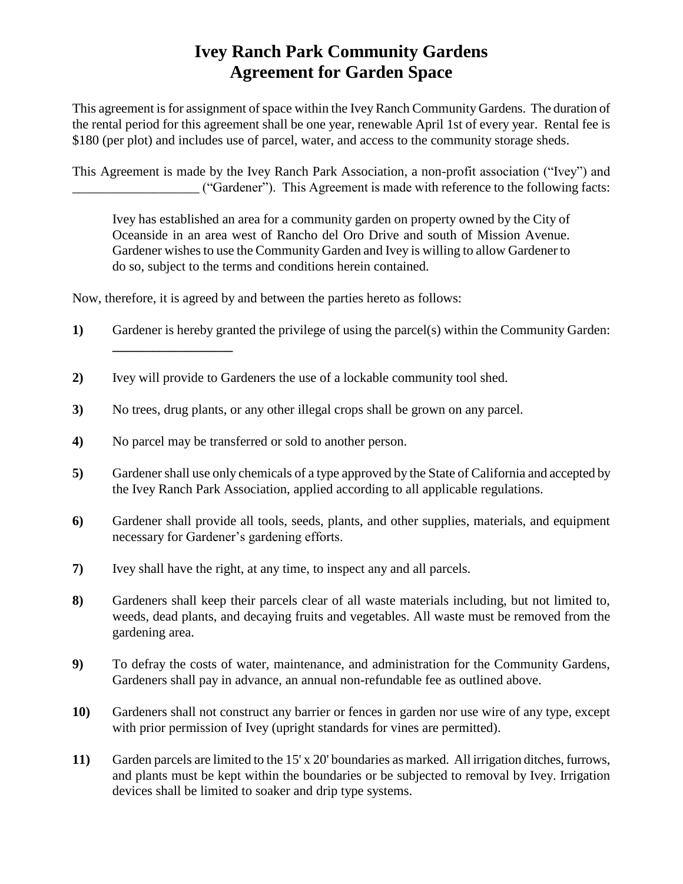## **Ivey Ranch Park Community Gardens Agreement for Garden Space**

This agreement is for assignment of space within the Ivey Ranch Community Gardens. The duration of the rental period for this agreement shall be one year, renewable April 1st of every year. Rental fee is \$180 (per plot) and includes use of parcel, water, and access to the community storage sheds.

This Agreement is made by the Ivey Ranch Park Association, a non-profit association ("Ivey") and \_\_\_\_\_\_\_\_\_\_\_\_\_\_\_\_\_\_\_ ("Gardener"). This Agreement is made with reference to the following facts:

Ivey has established an area for a community garden on property owned by the City of Oceanside in an area west of Rancho del Oro Drive and south of Mission Avenue. Gardener wishes to use the Community Garden and Ivey is willing to allow Gardener to do so, subject to the terms and conditions herein contained.

Now, therefore, it is agreed by and between the parties hereto as follows:

- **1)** Gardener is hereby granted the privilege of using the parcel(s) within the Community Garden:
- **2)** Ivey will provide to Gardeners the use of a lockable community tool shed.
- **3)** No trees, drug plants, or any other illegal crops shall be grown on any parcel.
- **4)** No parcel may be transferred or sold to another person.

**\_\_\_\_\_\_\_\_\_\_\_\_\_\_\_\_\_\_**

- **5)** Gardener shall use only chemicals of a type approved by the State of California and accepted by the Ivey Ranch Park Association, applied according to all applicable regulations.
- **6)** Gardener shall provide all tools, seeds, plants, and other supplies, materials, and equipment necessary for Gardener's gardening efforts.
- **7)** Ivey shall have the right, at any time, to inspect any and all parcels.
- **8)** Gardeners shall keep their parcels clear of all waste materials including, but not limited to, weeds, dead plants, and decaying fruits and vegetables. All waste must be removed from the gardening area.
- **9)** To defray the costs of water, maintenance, and administration for the Community Gardens, Gardeners shall pay in advance, an annual non-refundable fee as outlined above.
- **10)** Gardeners shall not construct any barrier or fences in garden nor use wire of any type, except with prior permission of Ivey (upright standards for vines are permitted).
- **11)** Garden parcels are limited to the 15' x 20' boundaries as marked. All irrigation ditches, furrows, and plants must be kept within the boundaries or be subjected to removal by Ivey. Irrigation devices shall be limited to soaker and drip type systems.